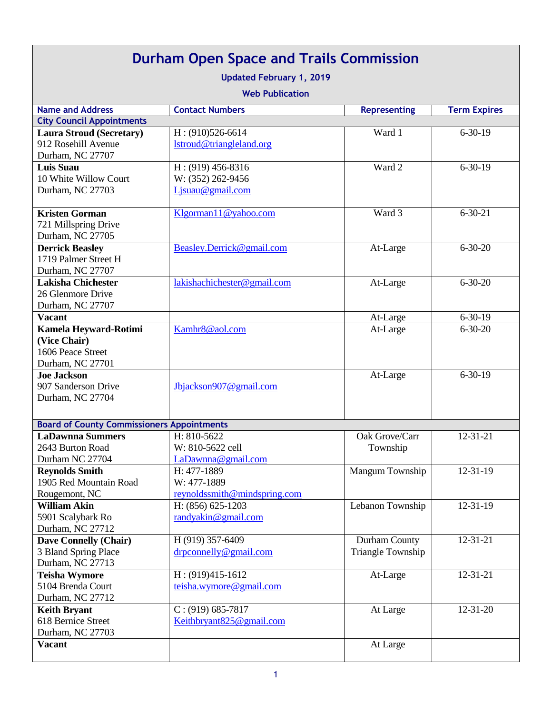| <b>Durham Open Space and Trails Commission</b><br><b>Updated February 1, 2019</b><br><b>Web Publication</b> |                                                               |                                    |                     |  |
|-------------------------------------------------------------------------------------------------------------|---------------------------------------------------------------|------------------------------------|---------------------|--|
| <b>Name and Address</b>                                                                                     | <b>Contact Numbers</b>                                        | <b>Representing</b>                | <b>Term Expires</b> |  |
| <b>City Council Appointments</b>                                                                            |                                                               |                                    |                     |  |
| <b>Laura Stroud (Secretary)</b><br>912 Rosehill Avenue<br>Durham, NC 27707                                  | $H: (910)526-6614$<br>lstroud@triangleland.org                | Ward 1                             | $6 - 30 - 19$       |  |
| <b>Luis Suau</b><br>10 White Willow Court<br>Durham, NC 27703                                               | $H$ : (919) 456-8316<br>W: (352) 262-9456<br>Ljsuau@gmail.com | Ward 2                             | $6 - 30 - 19$       |  |
| <b>Kristen Gorman</b><br>721 Millspring Drive<br>Durham, NC 27705                                           | Klgorman11@yahoo.com                                          | Ward 3                             | $6 - 30 - 21$       |  |
| <b>Derrick Beasley</b><br>1719 Palmer Street H<br>Durham, NC 27707                                          | Beasley.Derrick@gmail.com                                     | At-Large                           | $6 - 30 - 20$       |  |
| <b>Lakisha Chichester</b><br>26 Glenmore Drive<br>Durham, NC 27707                                          | lakishachichester@gmail.com                                   | At-Large                           | $6 - 30 - 20$       |  |
| <b>Vacant</b>                                                                                               |                                                               | At-Large                           | $6 - 30 - 19$       |  |
| Kamela Heyward-Rotimi<br>(Vice Chair)<br>1606 Peace Street<br>Durham, NC 27701                              | Kamhr8@aol.com                                                | At-Large                           | $6 - 30 - 20$       |  |
| <b>Joe Jackson</b><br>907 Sanderson Drive<br>Durham, NC 27704                                               | Jbjackson907@gmail.com                                        | At-Large                           | $6-30-19$           |  |
| <b>Board of County Commissioners Appointments</b>                                                           |                                                               |                                    |                     |  |
| <b>LaDawnna Summers</b><br>2643 Burton Road<br>Durham NC 27704                                              | H: 810-5622<br>W: 810-5622 cell<br>LaDawnna@gmail.com         | Oak Grove/Carr<br>Township         | $12 - 31 - 21$      |  |
| <b>Reynolds Smith</b><br>1905 Red Mountain Road<br>Rougemont, NC                                            | H: 477-1889<br>W: 477-1889<br>reynoldssmith@mindspring.com    | Mangum Township                    | $12 - 31 - 19$      |  |
| <b>William Akin</b><br>5901 Scalybark Ro<br>Durham, NC 27712                                                | H: (856) 625-1203<br>$\text{randyakin}\ \omega$ gmail.com     | Lebanon Township                   | $12 - 31 - 19$      |  |
| <b>Dave Connelly (Chair)</b><br>3 Bland Spring Place<br>Durham, NC 27713                                    | H (919) 357-6409<br>drpconnelly@gmail.com                     | Durham County<br>Triangle Township | $12 - 31 - 21$      |  |
| <b>Teisha Wymore</b><br>5104 Brenda Court<br>Durham, NC 27712                                               | $H: (919)415-1612$<br>teisha.wymore@gmail.com                 | At-Large                           | 12-31-21            |  |
| <b>Keith Bryant</b><br>618 Bernice Street<br>Durham, NC 27703                                               | $C$ : (919) 685-7817<br>Keithbryant825@gmail.com              | At Large                           | $12 - 31 - 20$      |  |
| <b>Vacant</b>                                                                                               |                                                               | At Large                           |                     |  |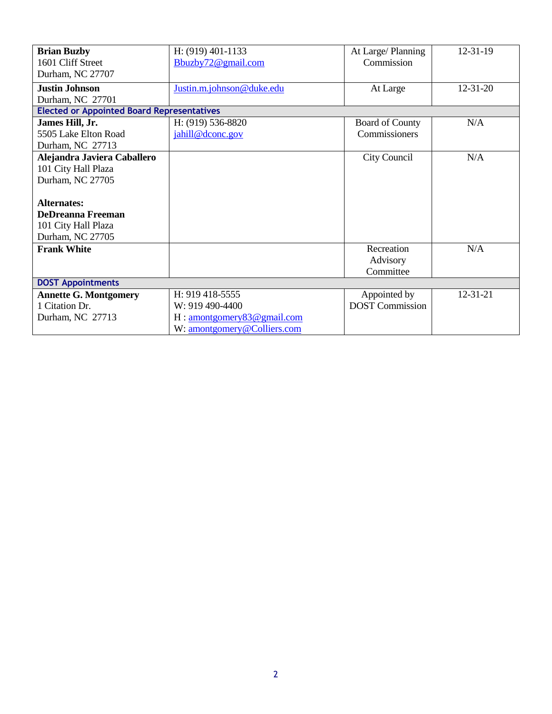| <b>Brian Buzby</b>                                | H: (919) 401-1133                           | At Large/Planning      | $12 - 31 - 19$ |  |
|---------------------------------------------------|---------------------------------------------|------------------------|----------------|--|
| 1601 Cliff Street                                 | Bbuzby72@gmail.com                          | Commission             |                |  |
| Durham, NC 27707                                  |                                             |                        |                |  |
| <b>Justin Johnson</b>                             | Justin.m.johnson@duke.edu                   | At Large               | $12 - 31 - 20$ |  |
| Durham, NC 27701                                  |                                             |                        |                |  |
| <b>Elected or Appointed Board Representatives</b> |                                             |                        |                |  |
| James Hill, Jr.                                   | H: (919) 536-8820                           | <b>Board of County</b> | N/A            |  |
| 5505 Lake Elton Road                              | jahill@dconc.gov                            | Commissioners          |                |  |
| Durham, NC 27713                                  |                                             |                        |                |  |
| Alejandra Javiera Caballero                       |                                             | <b>City Council</b>    | N/A            |  |
| 101 City Hall Plaza                               |                                             |                        |                |  |
| Durham, NC 27705                                  |                                             |                        |                |  |
|                                                   |                                             |                        |                |  |
| Alternates:                                       |                                             |                        |                |  |
| <b>DeDreanna Freeman</b>                          |                                             |                        |                |  |
| 101 City Hall Plaza                               |                                             |                        |                |  |
| Durham, NC 27705                                  |                                             |                        |                |  |
| <b>Frank White</b>                                |                                             | Recreation             | N/A            |  |
|                                                   |                                             | Advisory               |                |  |
|                                                   |                                             | Committee              |                |  |
| <b>DOST Appointments</b>                          |                                             |                        |                |  |
| <b>Annette G. Montgomery</b>                      | H: 919 418-5555                             | Appointed by           | $12 - 31 - 21$ |  |
| 1 Citation Dr.                                    | W: 919 490-4400                             | <b>DOST Commission</b> |                |  |
| Durham, NC 27713                                  | $H: \frac{1}{2}$ amontgomery 83 @ gmail.com |                        |                |  |
|                                                   | W: amontgomery@Colliers.com                 |                        |                |  |